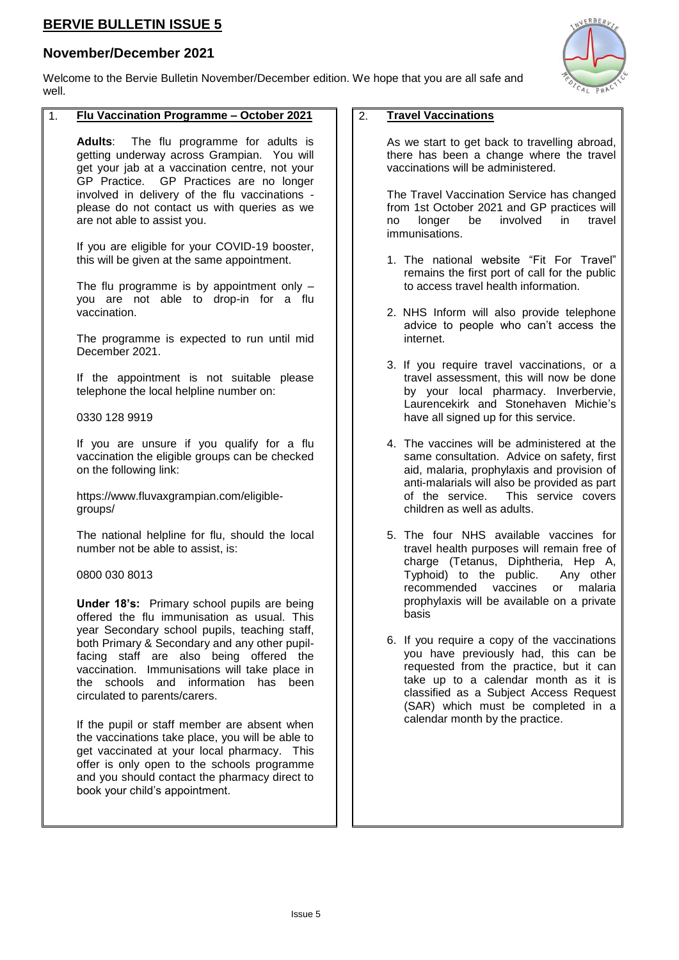# **BERVIE BULLETIN ISSUE 5**

## **November/December 2021**

Welcome to the Bervie Bulletin November/December edition. We hope that you are all safe and well.

### 1. **Flu Vaccination Programme – October 2021**

**Adults**: The flu programme for adults is getting underway across Grampian. You will get your jab at a vaccination centre, not your GP Practice. GP Practices are no longer involved in delivery of the flu vaccinations please do not contact us with queries as we are not able to assist you.

If you are eligible for your COVID-19 booster, this will be given at the same appointment.

The flu programme is by appointment only  $$ you are not able to drop-in for a flu vaccination.

The programme is expected to run until mid December 2021.

If the appointment is not suitable please telephone the local helpline number on:

0330 128 9919

If you are unsure if you qualify for a flu vaccination the eligible groups can be checked on the following link:

https://www.fluvaxgrampian.com/eligiblegroups/

The national helpline for flu, should the local number not be able to assist, is:

0800 030 8013

**Under 18's:** Primary school pupils are being offered the flu immunisation as usual. This year Secondary school pupils, teaching staff, both Primary & Secondary and any other pupilfacing staff are also being offered the vaccination. Immunisations will take place in the schools and information has been circulated to parents/carers.

If the pupil or staff member are absent when the vaccinations take place, you will be able to get vaccinated at your local pharmacy. This offer is only open to the schools programme and you should contact the pharmacy direct to book your child's appointment.

### 2. **Travel Vaccinations**

As we start to get back to travelling abroad, there has been a change where the travel vaccinations will be administered.

The Travel Vaccination Service has changed from 1st October 2021 and GP practices will no longer be involved in travel immunisations.

- 1. The national website "Fit For Travel" remains the first port of call for the public to access travel health information.
- 2. NHS Inform will also provide telephone advice to people who can't access the internet.
- 3. If you require travel vaccinations, or a travel assessment, this will now be done by your local pharmacy. Inverbervie, Laurencekirk and Stonehaven Michie's have all signed up for this service.
- 4. The vaccines will be administered at the same consultation. Advice on safety, first aid, malaria, prophylaxis and provision of anti-malarials will also be provided as part of the service. This service covers children as well as adults.
- 5. The four NHS available vaccines for travel health purposes will remain free of charge (Tetanus, Diphtheria, Hep A, Typhoid) to the public. Any other recommended vaccines or malaria prophylaxis will be available on a private basis
- 6. If you require a copy of the vaccinations you have previously had, this can be requested from the practice, but it can take up to a calendar month as it is classified as a Subject Access Request (SAR) which must be completed in a calendar month by the practice.